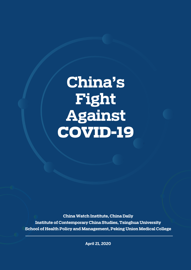# **China's Fight Against** COVID-19

**China Watch Institute, China Daily Institute of Contemporary China Studies, Tsinghua University School of Health Policy and Management, Peking Union Medical College**

**April 21, 2020**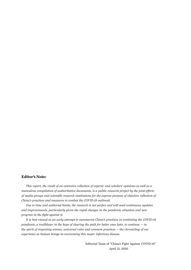#### **Editor's Note:**

*This report, the result of an extensive collection of experts' and scholars' opinions as well as a meticulous compilation of authoritative documents, is a public research project by the joint efforts of media groups and scientific research institutions for the express purpose of objective reflection of China's practices and measures to combat the COVID-19 outbreak.* 

*Due to time and authorial limits, the research is not perfect and will need continuous updates and improvements, particularly given the rapid changes in the pandemic situation and new progress in the fight against it.* 

*It is best viewed as an early attempt to summarize China's practices in combating the COVID-19 pandemic, a trailblazer in the hope of clearing the path for better ones later, to continue — in the spirit of respecting science, universal rules and common practices — the chronicling of our experience as human beings in overcoming this major infectious disease.*

> Editorial Team of "China's Fight Against COVID-19" April 21, 2020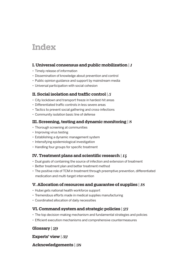## **Index**

#### **I. Universal consensus and public mobilization** | *1*

- Timely release of information
- Dissemination of knowledge about prevention and control
- Public opinion guidance and support by mainstream media
- Universal participation with social cohesion

#### **II. Social isolation and traffic control** | *5*

- City lockdown and transport freeze in hardest-hit areas
- Differentiated traffic controls in less severe areas
- Tactics to prevent social gathering and cross-infections
- Community isolation basic line of defense

#### **III. Screening, testing and dynamic monitoring** | *8*

- Thorough screening at communities
- Improving virus testing
- Establishing a dynamic management system
- Intensifying epidemiological investigation
- Handling four groups for specific treatment

#### **IV. Treatment plans and scientific research** | *14*

- Dual goals of containing the source of infection and extension of treatment
- Better treatment plan and better treatment method
- The positive role of TCM in treatment through preemptive prevention, differentiated medication and multi-target intervention

#### **V. Allocation of resources and guarantee of supplies** | *18*

- Hubei gets national health workforce support
- Tremendous efforts made in medical supplies manufacturing
- Coordinated allocation of daily necessities

#### **VI. Command system and strategic policies** | *23*

- The top decision-making mechanism and fundamental strategies and policies
- Efficient execution mechanisms and comprehensive countermeasures

#### **Glossary** | *29*

**Experts' view** | *32*

#### **Acknowledgements** | *38*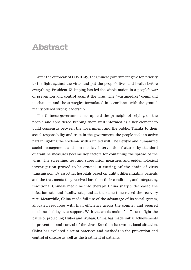### **Abstract**

After the outbreak of COVID-19, the Chinese government gave top priority to the fight against the virus and put the people's lives and health before everything. President Xi Jinping has led the whole nation in a people's war of prevention and control against the virus. The "wartime-like" command mechanism and the strategies formulated in accordance with the ground reality offered strong leadership.

The Chinese government has upheld the principle of relying on the people and considered keeping them well informed as a key element to build consensus between the government and the public. Thanks to their social responsibility and trust in the government, the people took an active part in fighting the epidemic with a united will. The flexible and humanized social management and non-medical intervention featured by standard quarantine measures became key factors for containing the spread of the virus. The screening, test and supervision measures and epidemiological investigation proved to be crucial in cutting off the chain of virus transmission. By assorting hospitals based on utility, differentiating patients and the treatments they received based on their conditions, and integrating traditional Chinese medicine into therapy, China sharply decreased the infection rate and fatality rate, and at the same time raised the recovery rate. Meanwhile, China made full use of the advantage of its social system, allocated resources with high efficiency across the country and secured much-needed logistics support. With the whole natione's efforts to fight the battle of protecting Hubei and Wuhan, China has made initial achievements in prevention and control of the virus. Based on its own national situation, China has explored a set of practices and methods in the prevention and control of disease as well as the treatment of patients.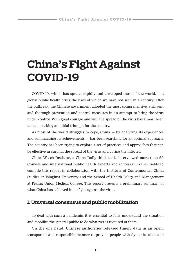## **China's Fight Against COVID-19**

COVID-19, which has spread rapidly and enveloped most of the world, is a global public health crisis the likes of which we have not seen in a century. After the outbreak, the Chinese government adopted the most comprehensive, stringent and thorough prevention and control measures in an attempt to bring the virus under control. With great courage and will, the spread of the virus has almost been tamed, marking an initial triumph for the country.

As most of the world struggles to cope,  $China - by analyzing$  its experiences and summarizing its achievements — has been searching for an optimal approach. The country has been trying to explore a set of practices and approaches that can be effective in curbing the spread of the virus and curing the infected.

China Watch Institute, a China Daily think tank, interviewed more than 60 Chinese and international public health experts and scholars in other fields to compile this report in collaboration with the Institute of Contemporary China Studies at Tsinghua University and the School of Health Policy and Management at Peking Union Medical College. This report presents a preliminary summary of what China has achieved in its fight against the virus.

#### **I. Universal consensus and public mobilization**

To deal with such a pandemic, it is essential to fully understand the situation and mobilize the general public to do whatever is required of them.

On the one hand, Chinese authorities released timely data in an open, transparent and responsible manner to provide people with dynamic, clear and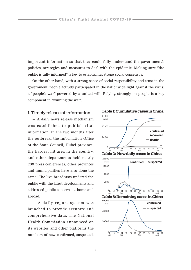important information so that they could fully understand the government's policies, strategies and measures to deal with the epidemic. Making sure "the public is fully informed" is key to establishing strong social consensus.

On the other hand, with a strong sense of social responsibility and trust in the government, people actively participated in the nationwide fight against the virus: a "people's war" powered by a united will. Relying strongly on people is a key component in "winning the war".

#### 1. Timely release of information

— A daily news release mechanism was established to publish vital information. In the two months after the outbreak, the Information Office of the State Council, Hubei province, the hardest hit area in the country, and other departments held nearly 200 press conferences; other provinces and municipalities have also done the same. The live broadcasts updated the public with the latest developments and addressed public concerns at home and abroad.

— A daily report system was launched to provide accurate and comprehensive data. The National Health Commission announced on its websites and other platforms the numbers of new confirmed, suspected,

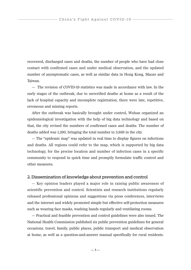recovered, discharged cases and deaths, the number of people who have had close contact with confirmed cases and under medical observation, and the updated number of asymptomatic cases, as well as similar data in Hong Kong, Macao and Taiwan.

— The revision of COVID-19 statistics was made in accordance with law. In the early stages of the outbreak, due to unverified deaths at home as a result of the lack of hospital capacity and incomplete registration, there were late, repetitive, erroneous and missing reports.

After the outbreak was basically brought under control, Wuhan organized an epidemiological investigation with the help of big data technology and based on that, the city revised the numbers of confirmed cases and deaths. The number of deaths added was 1,290, bringing the total number to 3,869 in the city.

— The "epidemic map" was updated in real time to display figures on infections and deaths. All regions could refer to the map, which is supported by big data technology, for the precise location and number of infection cases in a specific community to respond in quick time and promptly formulate traffic control and other measures.

#### 2. Dissemination of knowledge about prevention and control

— Key opinion leaders played a major role in raising public awareness of scientific prevention and control. Scientists and research institutions regularly released professional opinions and suggestions via press conferences, interviews and the internet and widely promoted simple but effective self-protection measures such as wearing face masks, washing hands regularly and ventilating rooms.

— Practical and feasible prevention and control guidelines were also issued. The National Health Commission published six public prevention guidelines for general occasions, travel, family, public places, public transport and medical observation at home, as well as a question-and-answer manual specifically for rural residents.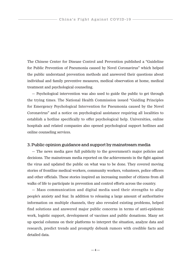The Chinese Center for Disease Control and Prevention published a "Guideline for Public Prevention of Pneumonia caused by Novel Coronavirus" which helped the public understand prevention methods and answered their questions about individual and family preventive measures, medical observation at home, medical treatment and psychological counseling.

— Psychological intervention was also used to guide the public to get through the trying times. The National Health Commission issued "Guiding Principles for Emergency Psychological Intervention for Pneumonia caused by the Novel Coronavirus" and a notice on psychological assistance requiring all localities to establish a hotline specifically to offer psychological help. Universities, online hospitals and related companies also opened psychological support hotlines and online counseling services.

#### 3. Public opinion guidance and support by mainstream media

— The news media gave full publicity to the government's major policies and decisions. The mainstream media reported on the achievements in the fight against the virus and updated the public on what was to be done. They covered moving stories of frontline medical workers, community workers, volunteers, police officers and other officials. These stories inspired an increasing number of citizens from all walks of life to participate in prevention and control efforts across the country.

— Mass communication and digital media used their strengths to allay people's anxiety and fear. In addition to releasing a large amount of authoritative information on multiple channels, they also revealed existing problems, helped find solutions and answered major public concerns in terms of anti-epidemic work, logistic support, development of vaccines and public donations. Many set up special columns on their platforms to interpret the situation, analyze data and research, predict trends and promptly debunk rumors with credible facts and detailed data.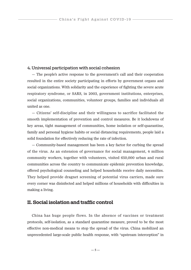#### 4. Universal participation with social cohesion

— The people's active response to the government's call and their cooperation resulted in the entire society participating in efforts by government organs and social organizations. With solidarity and the experience of fighting the severe acute respiratory syndrome, or SARS, in 2003, government institutions, enterprises, social organizations, communities, volunteer groups, families and individuals all united as one.

— Citizens' self-discipline and their willingness to sacrifice facilitated the smooth implementation of prevention and control measures. Be it lockdowns of key areas, tight management of communities, home isolation or self-quarantine, family and personal hygiene habits or social distancing requirements, people laid a solid foundation for effectively reducing the rate of infection.

— Community-based management has been a key factor for curbing the spread of the virus. As an extension of governance for social management, 4 million community workers, together with volunteers, visited 650,000 urban and rural communities across the country to communicate epidemic prevention knowledge, offered psychological counseling and helped households receive daily necessities. They helped provide dragnet screening of potential virus carriers, made sure every corner was disinfected and helped millions of households with difficulties in making a living.

#### **II. Social isolation and traffic control**

China has huge people flows. In the absence of vaccines or treatment protocols, self-isolation, as a standard quarantine measure, proved to be the most effective non-medical means to stop the spread of the virus. China mobilized an unprecedented large-scale public health response, with "upstream interception" in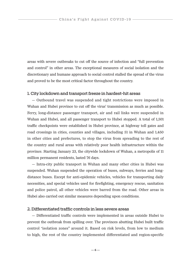areas with severe outbreaks to cut off the source of infection and "full prevention and control" in other areas. The exceptional measures of social isolation and the discretionary and humane approach to social control stalled the spread of the virus and proved to be the most critical factor throughout the country.

#### 1. City lockdown and transport freeze in hardest-hit areas

— Outbound travel was suspended and tight restrictions were imposed in Wuhan and Hubei province to cut off the virus' transmission as much as possible. Ferry, long-distance passenger transport, air and rail links were suspended in Wuhan and Hubei, and all passenger transport to Hubei stopped. A total of 1,501 traffic checkpoints were established in Hubei province, at highway toll gates and road crossings in cities, counties and villages, including 51 in Wuhan and 1,450 in other cities and prefectures, to stop the virus from spreading to the rest of the country and rural areas with relatively poor health infrastructure within the province. Starting January 23, the citywide lockdown of Wuhan, a metropolis of 11 million permanent residents, lasted 76 days.

— Intra-city public transport in Wuhan and many other cities in Hubei was suspended. Wuhan suspended the operation of buses, subways, ferries and longdistance buses. Except for anti-epidemic vehicles, vehicles for transporting daily necessities, and special vehicles used for firefighting, emergency rescue, sanitation and police patrol, all other vehicles were barred from the road. Other areas in Hubei also carried out similar measures depending upon conditions.

#### 2. Differentiated traffic controls in less severe areas

— Differentiated traffic controls were implemented in areas outside Hubei to prevent the outbreak from spilling over. The provinces abutting Hubei built traffic control "isolation zones" around it. Based on risk levels, from low to medium to high, the rest of the country implemented differentiated and region-specific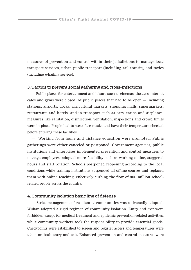measures of prevention and control within their jurisdictions to manage local transport services, urban public transport (including rail transit), and taxies (including e-hailing service).

#### 3. Tactics to prevent social gathering and cross-infections

— Public places for entertainment and leisure such as cinemas, theaters, internet cafes and gyms were closed. At public places that had to be open — including stations, airports, docks, agricultural markets, shopping malls, supermarkets, restaurants and hotels, and in transport such as cars, trains and airplanes, measures like sanitation, disinfection, ventilation, inspections and crowd limits were in place. People had to wear face masks and have their temperature checked before entering these facilities.

— Working from home and distance education were promoted. Public gatherings were either canceled or postponed. Government agencies, public institutions and enterprises implemented prevention and control measures to manage employees, adopted more flexibility such as working online, staggered hours and staff rotation. Schools postponed reopening according to the local conditions while training institutions suspended all offline courses and replaced them with online teaching, effectively curbing the flow of 300 million schoolrelated people across the country.

#### 4. Community isolation basic line of defense

— Strict management of residential communities was universally adopted. Wuhan adopted a rigid regimen of community isolation. Entry and exit were forbidden except for medical treatment and epidemic prevention-related activities, while community workers took the responsibility to provide essential goods. Checkpoints were established to screen and register access and temperatures were taken on both entry and exit. Enhanced prevention and control measures were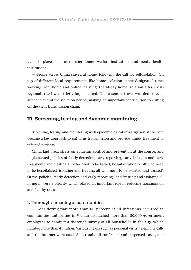taken in places such as nursing homes, welfare institutions and mental health institutions.

— People across China stayed at home, following the call for self-isolation. On top of different local requirements like home isolation at the designated time, working from home and online learning, the 14-day home isolation after crossregional travel was strictly implemented. Non-essential travel was denied even after the end of the isolation period, making an important contribution to cutting off the virus transmission chain.

#### **III. Screening, testing and dynamic monitoring**

Screening, testing and monitoring with epidemiological investigation at the core became a key approach to cut virus transmission and provide timely treatment to infected patients.

China laid great stress on epidemic control and prevention at the source, and implemented policies of "early detection, early reporting, early isolation and early treatment" and "testing all who need to be tested, hospitalization of all who need to be hospitalized, isolating and treating all who need to be isolated and treated". Of the policies, "early detection and early reporting" and "testing and isolating all in need" were a priority, which played an important role in reducing transmission and fatality rates.

#### 1. Thorough screening at communities

— Considering that more than 80 percent of all infections occurred in communities, authorities in Wuhan dispatched more than 80,000 government employees to conduct a thorough survey of all households in the city, which number more than 4 million. Various means such as personal visits, telephone calls and the internet were used. As a result, all confirmed and suspected cases, and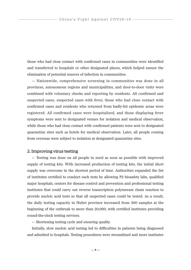those who had close contact with confirmed cases in communities were identified and transferred to hospitals or other designated places, which helped ensure the elimination of potential sources of infection in communities.

— Nationwide, comprehensive screening in communities was done in all provinces, autonomous regions and municipalities, and door-to-door visits were combined with voluntary checks and reporting by residents. All confirmed and suspected cases, suspected cases with fever, those who had close contact with confirmed cases and residents who returned from badly-hit epidemic areas were registered. All confirmed cases were hospitalized, and those displaying fever symptoms were sent to designated venues for isolation and medical observation, while those who had close contact with confirmed patients were sent to designated quarantine sites such as hotels for medical observation. Later, all people coming from overseas were subject to isolation at designated quarantine sites.

#### 2. Improving virus testing

— Testing was done on all people in need as soon as possible with improved supply of testing kits. With increased production of testing kits, the initial short supply was overcome in the shortest period of time. Authorities expanded the list of institutes certified to conduct such tests by allowing P2 biosafety labs, qualified major hospitals, centers for disease control and prevention and professional testing institutes that could carry out reverse transcription polymerase chain reaction to provide nucleic acid tests so that all suspected cases could be tested. As a result, the daily testing capacity in Hubei province increased from 300 samples at the beginning of the outbreak to more than 20,000, with certified institutes providing round-the-clock testing services.

— Shortening testing cycle and ensuring quality

Initially, slow nucleic acid testing led to difficulties in patients being diagnosed and admitted to hospitals. Testing procedures were streamlined and more institutes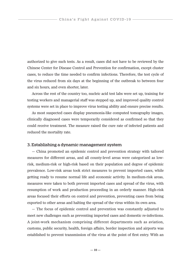authorized to give such tests. As a result, cases did not have to be reviewed by the Chinese Center for Disease Control and Prevention for confirmation, except cluster cases, to reduce the time needed to confirm infections. Therefore, the test cycle of the virus reduced from six days at the beginning of the outbreak to between four and six hours, and even shorter, later.

Across the rest of the country too, nucleic acid test labs were set up, training for testing workers and managerial staff was stepped up, and improved quality control systems were set in place to improve virus testing ability and ensure precise results.

As most suspected cases display pneumonia-like computed tomography images, clinically diagnosed cases were temporarily considered as confirmed so that they could receive treatment. The measure raised the cure rate of infected patients and reduced the mortality rate.

#### 3. Establishing a dynamic management system

— China promoted an epidemic control and prevention strategy with tailored measures for different areas, and all county-level areas were categorized as lowrisk, medium-risk or high-risk based on their population and degree of epidemic prevalence. Low-risk areas took strict measures to prevent imported cases, while getting ready to resume normal life and economic activity. In medium-risk areas, measures were taken to both prevent imported cases and spread of the virus, with resumption of work and production proceeding in an orderly manner. High-risk areas focused their efforts on control and prevention, preventing cases from being exported to other areas and halting the spread of the virus within its own area.

— The focus of epidemic control and prevention was constantly adjusted to meet new challenges such as preventing imported cases and domestic re-infections. A joint-work mechanism comprising different departments such as aviation, customs, public security, health, foreign affairs, border inspection and airports was established to prevent transmission of the virus at the point of first entry. With an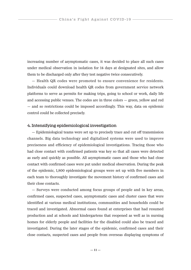increasing number of asymptomatic cases, it was decided to place all such cases under medical observation in isolation for 14 days at designated sites, and allow them to be discharged only after they test negative twice consecutively.

— Health QR codes were promoted to ensure convenience for residents. Individuals could download health QR codes from government service network platforms to serve as permits for making trips, going to school or work, daily life and accessing public venues. The codes are in three colors — green, yellow and red — and so restrictions could be imposed accordingly. This way, data on epidemic control could be collected precisely.

#### 4. Intensifying epidemiological investigation

— Epidemiological teams were set up to precisely trace and cut off transmission channels. Big data technology and digitalized systems were used to improve preciseness and efficiency of epidemiological investigations. Tracing those who had close contact with confirmed patients was key so that all cases were detected as early and quickly as possible. All asymptomatic cases and those who had close contact with confirmed cases were put under medical observation. During the peak of the epidemic, 1,800 epidemiological groups were set up with five members in each team to thoroughly investigate the movement history of confirmed cases and their close contacts.

— Surveys were conducted among focus groups of people and in key areas, confirmed cases, suspected cases, asymptomatic cases and cluster cases that were identified at various medical institutions, communities and households could be traced and investigated. Abnormal cases found at enterprises that had resumed production and at schools and kindergartens that reopened as well as in nursing homes for elderly people and facilities for the disabled could also be traced and investigated. During the later stages of the epidemic, confirmed cases and their close contacts, suspected cases and people from overseas displaying symptoms of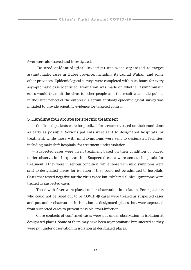fever were also traced and investigated.

— Tailored epidemiological investigations were organized to target asymptomatic cases in Hubei province, including its capital Wuhan, and some other provinces. Epidemiological surveys were completed within 24 hours for every asymptomatic case identified. Evaluation was made on whether asymptomatic cases would transmit the virus to other people and the result was made public; in the latter period of the outbreak, a serum antibody epidemiological survey was initiated to provide scientific evidence for targeted control.

#### 5. Handling four groups for specific treatment

— Confirmed patients were hospitalized for treatment based on their conditions as early as possible. Serious patients were sent to designated hospitals for treatment, while those with mild symptoms were sent to designated facilities, including makeshift hospitals, for treatment under isolation.

— Suspected cases were given treatment based on their condition or placed under observation in quarantine. Suspected cases were sent to hospitals for treatment if they were in serious condition, while those with mild symptoms were sent to designated places for isolation if they could not be admitted to hospitals. Cases that tested negative for the virus twice but exhibited clinical symptoms were treated as suspected cases.

— Those with fever were placed under observation in isolation. Fever patients who could not be ruled out to be COVID-19 cases were treated as suspected cases and put under observation in isolation at designated places, but were separated from suspected cases to prevent possible cross-infection.

— Close contacts of confirmed cases were put under observation in isolation at designated places. Some of them may have been asymptomatic but infected so they were put under observation in isolation at designated places.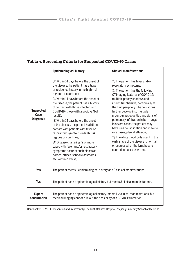|                                              | <b>Epidemiological history</b>                                                                                                                                                                                                                                                                                                                                                                                                                                                                                                                                                                                                                                                                | <b>Clinical manifestations</b>                                                                                                                                                                                                                                                                                                                                                                                                                                                                                                                                                                                               |
|----------------------------------------------|-----------------------------------------------------------------------------------------------------------------------------------------------------------------------------------------------------------------------------------------------------------------------------------------------------------------------------------------------------------------------------------------------------------------------------------------------------------------------------------------------------------------------------------------------------------------------------------------------------------------------------------------------------------------------------------------------|------------------------------------------------------------------------------------------------------------------------------------------------------------------------------------------------------------------------------------------------------------------------------------------------------------------------------------------------------------------------------------------------------------------------------------------------------------------------------------------------------------------------------------------------------------------------------------------------------------------------------|
| <b>Suspected</b><br>Case<br><b>Diagnosis</b> | 1) Within 14 days before the onset of<br>the disease, the patient has a travel<br>or residence history in the high-risk<br>regions or countries;<br>2 Within 14 days before the onset of<br>the disease, the patient has a history<br>of contact with those infected with<br>COVID-19 (those with a positive NAT<br>result);<br>3 Within 14 days before the onset<br>of the disease, the patient had direct<br>contact with patients with fever or<br>respiratory symptoms in high-risk<br>regions or countries;<br>4 Disease clustering (2 or more<br>cases with fever and/or respiratory<br>symptoms occur at such places as<br>homes, offices, school classrooms,<br>etc. within 2 weeks). | 1) The patient has fever and/or<br>respiratory symptoms;<br>2 The patient has the following<br>CT imaging features of COVID-19:<br>multiple patchy shadows and<br>interstitial changes, particularly at<br>the lung periphery. The conditions<br>further develop into multiple<br>ground-glass opacities and signs of<br>pulmonary infiltration in both lungs.<br>In severe cases, the patient may<br>have lung consolidation and in some<br>rare cases, pleural effusion;<br>3) The white blood cells count in the<br>early stage of the disease is normal<br>or decreased, or the lymphocyte<br>count decreases over time. |
| <b>Yes</b>                                   | The patient meets 1 epidemiological history and 2 clinical manifestations.                                                                                                                                                                                                                                                                                                                                                                                                                                                                                                                                                                                                                    |                                                                                                                                                                                                                                                                                                                                                                                                                                                                                                                                                                                                                              |
| <b>Yes</b>                                   | The patient has no epidemiological history but meets 3 clinical manifestations.                                                                                                                                                                                                                                                                                                                                                                                                                                                                                                                                                                                                               |                                                                                                                                                                                                                                                                                                                                                                                                                                                                                                                                                                                                                              |
| <b>Expert</b><br>consultation                | The patient has no epidemiological history, meets 1-2 clinical manifestations, but<br>medical imaging cannot rule out the possibility of a COVID-19 infection.                                                                                                                                                                                                                                                                                                                                                                                                                                                                                                                                |                                                                                                                                                                                                                                                                                                                                                                                                                                                                                                                                                                                                                              |

#### **Table 4. Screening Criteria for Suspected COVID-19 Cases**

Handbook of COVID-19 Prevention and Treatment by The First Affiliated Hospital, Zhejiang University School of Medicine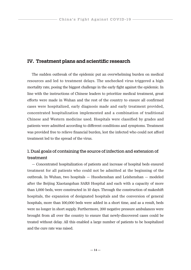#### **IV. Treatment plans and scientific research**

The sudden outbreak of the epidemic put an overwhelming burden on medical resources and led to treatment delays. The unchecked virus triggered a high mortality rate, posing the biggest challenge in the early fight against the epidemic. In line with the instructions of Chinese leaders to prioritize medical treatment, great efforts were made in Wuhan and the rest of the country to ensure all confirmed cases were hospitalized, early diagnosis made and early treatment provided, concentrated hospitalization implemented and a combination of traditional Chinese and Western medicine used. Hospitals were classified by grades and patients were admitted according to different conditions and symptoms. Treatment was provided free to relieve financial burden, lest the infected who could not afford treatment led to the spread of the virus.

#### 1. Dual goals of containing the source of infection and extension of treatment

— Concentrated hospitalization of patients and increase of hospital beds ensured treatment for all patients who could not be admitted at the beginning of the outbreak. In Wuhan, two hospitals — Huoshenshan and Leishenshan — modeled after the Beijing Xiaotangshan SARS Hospital and each with a capacity of more than 1,000 beds, were constructed in 10 days. Through the construction of makeshift hospitals, the expansion of designated hospitals and the conversion of general hospitals, more than 100,000 beds were added in a short time, and as a result, beds were no longer in short supply. Furthermore, 200 negative pressure ambulances were brought from all over the country to ensure that newly-discovered cases could be treated without delay. All this enabled a large number of patients to be hospitalized and the cure rate was raised.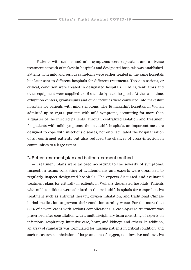— Patients with serious and mild symptoms were separated, and a diverse treatment network of makeshift hospitals and designated hospitals was established. Patients with mild and serious symptoms were earlier treated in the same hospitals but later sent to different hospitals for different treatments. Those in serious, or critical, condition were treated in designated hospitals. ECMOs, ventilators and other equipment were supplied to 46 such designated hospitals. At the same time, exhibition centers, gymnasiums and other facilities were converted into makeshift hospitals for patients with mild symptoms. The 16 makeshift hospitals in Wuhan admitted up to 12,000 patients with mild symptoms, accounting for more than a quarter of the infected patients. Through centralized isolation and treatment for patients with mild symptoms, the makeshift hospitals, an important measure designed to cope with infectious diseases, not only facilitated the hospitalization of all confirmed patients but also reduced the chances of cross-infection in communities to a large extent.

#### 2. Better treatment plan and better treatment method

— Treatment plans were tailored according to the severity of symptoms. Inspection teams consisting of academicians and experts were organized to regularly inspect designated hospitals. The experts discussed and evaluated treatment plans for critically ill patients in Wuhan's designated hospitals. Patients with mild conditions were admitted to the makeshift hospitals for comprehensive treatment such as antiviral therapy, oxygen inhalation, and traditional Chinese herbal medication to prevent their condition turning worse. For the more than 80% of severe cases with serious complications, a case-by-case treatment was prescribed after consultation with a multidisciplinary team consisting of experts on infections, respiratory, intensive care, heart, and kidneys and others. In addition, an array of standards was formulated for nursing patients in critical condition, and such measures as inhalation of large amount of oxygen, non-invasive and invasive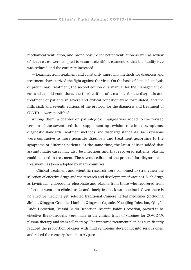mechanical ventilation, and prone posture for better ventilation as well as review of death cases, were adopted to ensure scientific treatment so that the fatality rate was reduced and the cure rate increased.

— Learning from treatment and constantly improving methods for diagnosis and treatment characterized the fight against the virus. On the basis of detailed analysis of preliminary treatment, the second edition of a manual for the management of cases with mild conditions, the third edition of a manual for the diagnosis and treatment of patients in severe and critical condition were formulated, and the fifth, sixth and seventh editions of the protocol for the diagnosis and treatment of COVID-19 were published.

Among them, a chapter on pathological changes was added to the revised version of the seventh edition, supplementing revision to clinical symptoms, diagnostic standards, treatment methods, and discharge standards. Such revisions were conducive to more accurate diagnosis and treatment according to the symptoms of different patients. At the same time, the latest edition added that asymptomatic cases may also be infectious and that recovered patients' plasma could be used in treatment. The seventh edition of the protocol for diagnosis and treatment has been adopted by many countries.

— Clinical treatment and scientific research were combined to strengthen the selection of effective drugs and the research and development of vaccines. Such drugs as favipiravir, chloroquine phosphate and plasma from those who recovered from infections went into clinical trials and timely feedback was obtained. Given there is no effective medicine yet, selected traditional Chinese herbal medicines (including Jinhua Qinggan Granule, Lianhua Qingwen Capsule, Xuebijing Injection, Qingfei Paidu Decoction, Huashi Baidu Decoction, Xuanfei Baidu Decoction) proved to be effective. Breakthroughs were made in the clinical trials of vaccines for COVID-19, plasma therapy and stem cell therapy. The improved treatment plan has significantly reduced the proportion of cases with mild symptoms developing into serious ones, and raised the recovery from 14 to 93 percent.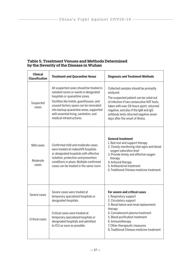| <b>Clinical</b><br><b>Classification</b> | <b>Treatment and Quarantine Venue</b>                                                                                                                                                                                                                                                                                     | <b>Diagnosis and Treatment Methods</b>                                                                                                                                                                                                                                                                          |  |
|------------------------------------------|---------------------------------------------------------------------------------------------------------------------------------------------------------------------------------------------------------------------------------------------------------------------------------------------------------------------------|-----------------------------------------------------------------------------------------------------------------------------------------------------------------------------------------------------------------------------------------------------------------------------------------------------------------|--|
| Suspected<br>cases                       | All suspected cases should be treated in<br>isolated rooms or wards in designated<br>hospitals or quarantine zones.<br>Facilities like hotels, guesthouses, and<br>unused factory space can be renovated<br>into backup quarantine areas, supported<br>with essential living, sanitation, and<br>medical infrastructures. | Collected samples should be promptly<br>analyzed.<br>The suspected patient can be ruled out<br>of infection if two consecutive NAT tests.<br>taken with over 24-hours apart, returned<br>negative, and also if the IgM and IgG<br>antibody tests returned negative seven<br>days after the onset of illness.    |  |
| Mild cases<br>Moderate<br>cases          | Confirmed mild and moderate cases<br>were treated at makeshift hospitals<br>or designated hospitals with effective<br>isolation, protection and prevention<br>conditions in place. Multiple confirmed<br>cases can be treated in the same room.                                                                           | <b>General treatment</b><br>1. Bed rest and support therapy<br>2. Closely monitoring vital signs and blood<br>oxygen saturation level<br>3. Provide timely and effective oxygen<br>therapy<br>4. Antiviral therapy<br>5. Antibacterial treatment<br>6. Traditional Chinese medicine treatment                   |  |
| Severe cases                             | Severe cases were treated at<br>temporary specialized hospitals or<br>designated hospitals.                                                                                                                                                                                                                               | For severe and critical cases<br>1. Respiratory support<br>2. Circulatory support<br>3. Renal failure and renal replacement<br>therapy<br>4. Convalescent plasma treatment<br>5. Blood purification treatment<br>6. Immunotherapy<br>7. Other therapeutic measures<br>8. Traditional Chinese medicine treatment |  |
| Critical cases                           | Critical cases were treated at<br>temporary specialized hospitals or<br>designated hospitals and admitted<br>to ICU as soon as possible.                                                                                                                                                                                  |                                                                                                                                                                                                                                                                                                                 |  |

#### **Table 5. Treatment Venues and Methods Determined by the Severity of the Disease in Wuhan**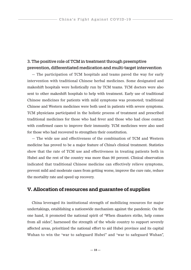#### 3. The positive role of TCM in treatment through preemptive prevention, differentiated medication and multi-target intervention

— The participation of TCM hospitals and teams paved the way for early intervention with traditional Chinese herbal medicines. Some designated and makeshift hospitals were holistically run by TCM teams. TCM doctors were also sent to other makeshift hospitals to help with treatment. Early use of traditional Chinese medicines for patients with mild symptoms was promoted; traditional Chinese and Western medicines were both used in patients with severe symptoms. TCM physicians participated in the holistic process of treatment and prescribed traditional medicines for those who had fever and those who had close contact with confirmed cases to improve their immunity. TCM medicines were also used for those who had recovered to strengthen their constitution.

— The wide use and effectiveness of the combination of TCM and Western medicine has proved to be a major feature of China's clinical treatment. Statistics show that the rate of TCM use and effectiveness in treating patients both in Hubei and the rest of the country was more than 90 percent. Clinical observation indicated that traditional Chinese medicine can effectively relieve symptoms, prevent mild and moderate cases from getting worse, improve the cure rate, reduce the mortality rate and speed up recovery.

#### **V. Allocation of resources and guarantee of supplies**

China leveraged its institutional strength of mobilizing resources for major undertakings, establishing a nationwide mechanism against the pandemic. On the one hand, it promoted the national spirit of "When disasters strike, help comes from all sides", harnessed the strength of the whole country to support severely affected areas, prioritized the national effort to aid Hubei province and its capital Wuhan to win the "war to safeguard Hubei" and "war to safeguard Wuhan",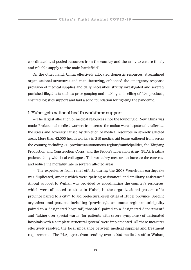coordinated and pooled resources from the country and the army to ensure timely and reliable supply to "the main battlefield".

On the other hand, China effectively allocated domestic resources, streamlined organizational structures and manufacturing, enhanced the emergency-response provision of medical supplies and daily necessities, strictly investigated and severely punished illegal acts such as price gouging and making and selling of fake products, ensured logistics support and laid a solid foundation for fighting the pandemic.

#### 1. Hubei gets national health workforce support

— The largest allocation of medical resources since the founding of New China was made. Professional medical workers from across the nation were dispatched to alleviate the stress and adversity caused by depletion of medical resources in severely affected areas. More than 42,000 health workers in 340 medical aid teams gathered from across the country, including 30 provinces/autonomous regions/municipalities, the Xinjiang Production and Construction Corps, and the People's Liberation Army (PLA), treating patients along with local colleagues. This was a key measure to increase the cure rate and reduce the mortality rate in severely affected areas.

— The experience from relief efforts during the 2008 Wenchuan earthquake was duplicated, among which were "pairing assistance" and "military assistance". All-out support to Wuhan was provided by coordinating the country's resources, which were allocated to cities in Hubei, in the organizational pattern of "a province paired to a city" to aid prefectural-level cities of Hubei province. Specific organizational patterns including "province/autonomous region/municipality paired to a designated hospital", "hospital paired to a designated department", and "taking over special wards (for patients with severe symptoms) of designated hospitals with a complete structural system" were implemented. All these measures effectively resolved the local imbalance between medical supplies and treatment requirements. The PLA, apart from sending over 4,000 medical staff to Wuhan,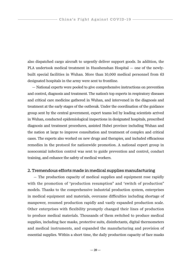also dispatched cargo aircraft to urgently deliver support goods. In addition, the PLA undertook medical treatment in Huoshenshan Hospital — one of the newlybuilt special facilities in Wuhan. More than 10,000 medical personnel from 63 designated hospitals in the army were sent to frontline.

— National experts were pooled to give comprehensive instructions on prevention and control, diagnosis and treatment. The nation's top experts in respiratory diseases and critical care medicine gathered in Wuhan, and intervened in the diagnosis and treatment at the early stages of the outbreak. Under the coordination of the guidance group sent by the central government, expert teams led by leading scientists arrived in Wuhan, conducted epidemiological inspections in designated hospitals, prescribed diagnosis and treatment procedures, assisted Hubei province including Wuhan and the nation at large to improve consultation and treatment of complex and critical cases. The experts also worked on new drugs and therapies, and included efficacious remedies in the protocol for nationwide promotion. A national expert group in nosocomial infection control was sent to guide prevention and control, conduct training, and enhance the safety of medical workers.

#### 2. Tremendous efforts made in medical supplies manufacturing

 — The production capacity of medical supplies and equipment rose rapidly with the promotion of "production resumption" and "switch of production" models. Thanks to the comprehensive industrial production system, enterprises in medical equipment and materials, overcame difficulties including shortage of manpower, resumed production rapidly and vastly expanded production scale. Other enterprises with flexibility promptly changed their lines of production to produce medical materials. Thousands of them switched to produce medical supplies, including face masks, protective suits, disinfectants, digital thermometers and medical instruments, and expanded the manufacturing and provision of essential supplies. Within a short time, the daily production capacity of face masks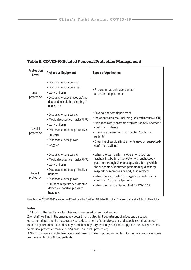| <b>Protection</b><br>Level | <b>Protective Equipment</b>                                                                                                                                                                                                                  | <b>Scope of Application</b>                                                                                                                                                                                                                                                                                                                                                                  |
|----------------------------|----------------------------------------------------------------------------------------------------------------------------------------------------------------------------------------------------------------------------------------------|----------------------------------------------------------------------------------------------------------------------------------------------------------------------------------------------------------------------------------------------------------------------------------------------------------------------------------------------------------------------------------------------|
| Level I<br>protection      | • Disposable surgical cap<br>• Disposable surgical mask<br>• Work uniform<br>• Disposable latex gloves or/and<br>disposable isolation clothing if<br>necessary                                                                               | • Pre-examination triage, general<br>outpatient department                                                                                                                                                                                                                                                                                                                                   |
| Level II<br>protection     | • Disposable surgical cap<br>• Medical protective mask (KN95)<br>• Work uniform<br>• Disposable medical protective<br>uniform<br>• Disposable latex gloves<br>• Goggles                                                                      | • Fever outpatient department<br>• Isolation ward area (including isolated intensive ICU)<br>• Non-respiratory example examination of suspected/<br>confirmed patients<br>• Imaging examination of suspected/confirmed<br>patients<br>• Cleaning of surgical instruments used on suspected/<br>confirmed patients                                                                            |
| Level III<br>protection    | • Disposable surgical cap<br>• Medical protective mask (KN95)<br>• Work uniform<br>• Disposable medical protective<br>uniform<br>• Disposable latex gloves<br>• Full-face respiratory protective<br>devices or positive pressure<br>headgear | • When the staff performs operations such as<br>tracheal intubation, tracheotomy, bronchoscopy,<br>gastroenterological endoscope, etc., during which,<br>the suspected/confirmed patients may discharge<br>respiratory secretions or body fluids/blood<br>• When the staff performs surgery and autopsy for<br>confirmed/suspected patients<br>• When the staff carries out NAT for COVID-19 |

#### **Table 6. COVID-19 Related Personal Protection Management**

Handbook of COVID-19 Prevention and Treatment by The First Affiliated Hospital, Zhejiang University School of Medicine

#### **Notes:**

1. All staff at the healthcare facilities must wear medical surgical masks;

2. All staff working in the emergency department, outpatient department of infectious diseases, outpatient department of respiratory care, department of stomatology or endoscopic examination room (such as gastrointestinal endoscopy, bronchoscopy, laryngoscopy, etc.) must upgrade their surgical masks to medical protective masks (KN95) based on Level I protection;

3. Staff must wear a protective face shield based on Level II protection while collecting respiratory samples from suspected/confirmed patients.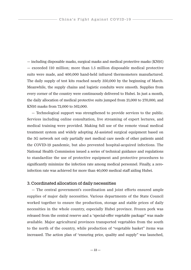— including disposable masks, surgical masks and medical protective masks (KN95) — exceeded 110 million; more than 1.5 million disposable medical protective suits were made, and 400,000 hand-held infrared thermometers manufactured. The daily supply of test kits reached nearly 350,000 by the beginning of March. Meanwhile, the supply chains and logistic conduits were smooth. Supplies from every corner of the country were continuously delivered to Hubei. In just a month, the daily allocation of medical protective suits jumped from 21,000 to 270,000, and KN95 masks from 72,000 to 562,000.

— Technological support was strengthened to provide services to the public. Services including online consultation, live streaming of expert lectures, and medical training were provided. Making full use of the remote visual medical treatment system and widely adopting AI-assisted surgical equipment based on the 5G network not only partially met medical care needs of other patients amid the COVID-19 pandemic, but also prevented hospital-acquired infections. The National Health Commission issued a series of technical guidance and regulations to standardize the use of protective equipment and protective procedures to significantly minimize the infection rate among medical personnel. Finally, a zeroinfection rate was achieved for more than 40,000 medical staff aiding Hubei.

#### 3. Coordinated allocation of daily necessities

— The central government's coordination and joint efforts ensured ample supplies of major daily necessities. Various departments of the State Council worked together to ensure the production, storage and stable prices of daily necessities in the whole country, especially Hubei province. Frozen pork was released from the central reserve and a "special-offer vegetable package" was made available. Major agricultural provinces transported vegetables from the south to the north of the country, while production of "vegetable basket" items was increased. The action plan of "ensuring price, quality and supply" was launched,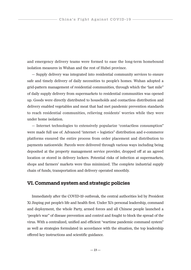and emergency delivery teams were formed to ease the long-term homebound isolation measures in Wuhan and the rest of Hubei province.

— Supply delivery was integrated into residential community services to ensure safe and timely delivery of daily necessities to people's homes. Wuhan adopted a grid-pattern management of residential communities, through which the "last mile" of daily supply delivery from supermarkets to residential communities was opened up. Goods were directly distributed to households and contactless distribution and delivery enabled vegetables and meat that had met pandemic prevention standards to reach residential communities, relieving residents' worries while they were under home isolation.

— Internet technologies to extensively popularize "contactless consumption" were made full use of. Advanced "internet + logistics" distribution and e-commerce platforms ensured the entire process from order placement and distribution to payments nationwide. Parcels were delivered through various ways including being deposited at the property management service provider, dropped off at an agreed location or stored in delivery lockers. Potential risks of infection at supermarkets, shops and farmers' markets were thus minimized. The complete industrial supply chain of funds, transportation and delivery operated smoothly.

#### **VI. Command system and strategic policies**

Immediately after the COVID-19 outbreak, the central authorities led by President Xi Jinping put people's life and health first. Under Xi's personal leadership, command and deployment, the whole Party, armed forces and all Chinese people launched a "people's war" of disease prevention and control and fought to block the spread of the virus. With a centralized, unified and efficient "wartime pandemic command system" as well as strategies formulated in accordance with the situation, the top leadership offered key instructions and scientific guidance.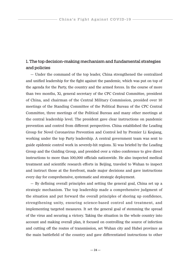#### 1. The top decision-making mechanism and fundamental strategies and policies

— Under the command of the top leader, China strengthened the centralized and unified leadership for the fight against the pandemic, which was put on top of the agenda for the Party, the country and the armed forces. In the course of more than two months, Xi, general secretary of the CPC Central Committee, president of China, and chairman of the Central Military Commission, presided over 10 meetings of the Standing Committee of the Political Bureau of the CPC Central Committee, three meetings of the Political Bureau and many other meetings at the central leadership level. The president gave clear instructions on pandemic prevention and control from different perspectives. China established the Leading Group for Novel Coronavirus Prevention and Control led by Premier Li Keqiang, working under the top Party leadership. A central government team was sent to guide epidemic control work in severely-hit regions. Xi was briefed by the Leading Group and the Guiding Group, and presided over a video conference to give direct instructions to more than 100,000 officials nationwide. He also inspected medical treatment and scientific research efforts in Beijing, traveled to Wuhan to inspect and instruct those at the forefront, made major decisions and gave instructions every day for comprehensive, systematic and strategic deployment.

— By defining overall principles and setting the general goal, China set up a strategic mechanism. The top leadership made a comprehensive judgment of the situation and put forward the overall principles of shoring up confidence, strengthening unity, ensuring science-based control and treatment, and implementing targeted measures. It set the general goal of stemming the spread of the virus and securing a victory. Taking the situation in the whole country into account and making overall plan, it focused on controlling the source of infection and cutting off the routes of transmission, set Wuhan city and Hubei province as the main battlefield of the country and gave differentiated instructions to other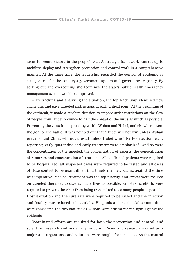areas to secure victory in the people's war. A strategic framework was set up to mobilize, deploy and strengthen prevention and control work in a comprehensive manner. At the same time, the leadership regarded the control of epidemic as a major test for the country's government system and governance capacity. By sorting out and overcoming shortcomings, the state's public health emergency management system would be improved.

— By tracking and analyzing the situation, the top leadership identified new challenges and gave targeted instructions at each critical point. At the beginning of the outbreak, it made a resolute decision to impose strict restrictions on the flow of people from Hubei province to halt the spread of the virus as much as possible. Preventing the virus from spreading within Wuhan and Hubei, and elsewhere, were the goal of the battle. It was pointed out that "Hubei will not win unless Wuhan prevails, and China will not prevail unless Hubei wins". Early detection, early reporting, early quarantine and early treatment were emphasized. And so were the concentration of the infected, the concentration of experts, the concentration of resources and concentration of treatment. All confirmed patients were required to be hospitalized, all suspected cases were required to be tested and all cases of close contact to be quarantined in a timely manner. Racing against the time was imperative. Medical treatment was the top priority, and efforts were focused on targeted therapies to save as many lives as possible. Painstaking efforts were required to prevent the virus from being transmitted to as many people as possible. Hospitalization and the cure rate were required to be raised and the infection and fatality rate reduced substantially. Hospitals and residential communities were considered the two battlefields  $-$  both were critical for the fight against the epidemic.

Coordinated efforts are required for both the prevention and control, and scientific research and material production. Scientific research was set as a major and urgent task and solutions were sought from science. As the control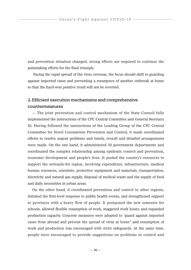and prevention situation changed, strong efforts are required to continue the painstaking efforts for the final triumph.

 Facing the rapid spread of the virus overseas, the focus should shift to guarding against imported cases and preventing a resurgence of another outbreak at home so that the hard-won positive trend will not be reverted.

#### 2. Efficient execution mechanisms and comprehensive countermeasures

— The joint prevention and control mechanism of the State Council fully implemented the instructions of the CPC Central Committee and General Secretary Xi. Having followed the instructions of the Leading Group of the CPC Central Committee for Novel Coronavirus Prevention and Control, it made coordinated efforts to resolve urgent problems and timely, overall and detailed arrangements were made. On the one hand, it administered 32 government departments and coordinated the complex relationship among epidemic control and prevention, economic development and people's lives. It pooled the country's resources to support the seriously-hit region, involving expenditure, infrastructure, medical human resources, scientists, protective equipment and materials, transportation, electricity and natural gas supply, disposal of medical waste and the supply of food and daily necessities in urban areas.

On the other hand, it coordinated prevention and control in other regions, initiated the first-level response to public health events, and strengthened support to provinces with a heavy flow of people. It postponed the new semester for schools, allowed flexible resumption of work, staggered work hours, and expanded production capacity. Concrete measures were adopted to "guard against imported cases from abroad and prevent the spread of virus at home" and resumption of work and production was encouraged with strict safeguards. At the same time, people were encouraged to provide suggestions on problems in control and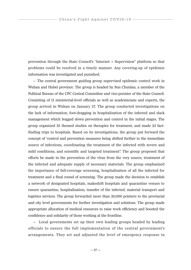prevention through the State Council's "Internet + Supervision" platform so that problems could be resolved in a timely manner. Any covering-up of epidemic information was investigated and punished.

— The central government guiding group supervised epidemic control work in Wuhan and Hubei province. The group is headed by Sun Chunlan, a member of the Political Bureau of the CPC Central Committee and vice-premier of the State Council. Consisting of 11 ministerial-level officials as well as academicians and experts, the group arrived in Wuhan on January 27. The group conducted investigations on the lack of information, foot-dragging in hospitalization of the infected and slack management which bogged down prevention and control in the initial stages. The group organized 35 themed studies on therapies for treatment, and made 23 factfinding trips to hospitals. Based on its investigations, the group put forward the concept of "control and prevention measures being shifted further to the immediate source of infections, coordinating the treatment of the infected with severe and mild conditions, and scientific and targeted treatment". The group proposed that efforts be made in the prevention of the virus from the very source, treatment of the infected and adequate supply of necessary materials. The group emphasized the importance of full-coverage screening, hospitalization of all the infected for treatment and a final round of screening. The group made the decision to establish a network of designated hospitals, makeshift hospitals and quarantine venues to ensure quarantine, hospitalization, transfer of the infected, material transport and logistics services. The group forwarded more than 20,000 pointers to the provincial and city level governments for further investigation and solutions. The group made appropriate allocation of medical resources to raise work efficiency and boosted the confidence and solidarity of those working at the frontline.

— Local governments set up their own leading groups headed by leading officials to ensure the full implementation of the central government's arrangements. They set and adjusted the level of emergency response in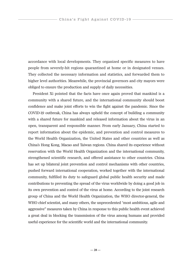accordance with local developments. They organized specific measures to have people from severely-hit regions quarantined at home or in designated venues. They collected the necessary information and statistics, and forwarded them to higher level authorities. Meanwhile, the provincial governors and city mayors were obliged to ensure the production and supply of daily necessities.

President Xi pointed that the facts have once again proved that mankind is a community with a shared future, and the international community should boost confidence and make joint efforts to win the fight against the pandemic. Since the COVID-19 outbreak, China has always upheld the concept of building a community with a shared future for mankind and released information about the virus in an open, transparent and responsible manner. From early January, China started to report information about the epidemic, and prevention and control measures to the World Health Organization, the United States and other countries as well as China's Hong Kong, Macao and Taiwan regions. China shared its experience without reservation with the World Health Organization and the international community, strengthened scientific research, and offered assistance to other countries. China has set up bilateral joint prevention and control mechanisms with other countries, pushed forward international cooperation, worked together with the international community, fulfilled its duty to safeguard global public health security and made contributions to preventing the spread of the virus worldwide by doing a good job in its own prevention and control of the virus at home. According to the joint research group of China and the World Health Organization, the WHO director-general, the WHO chief scientist, and many others, the unprecedented "most ambitious, agile and aggressive" measures taken by China in response to this public health event achieved a great deal in blocking the transmission of the virus among humans and provided useful experience for the scientific world and the international community.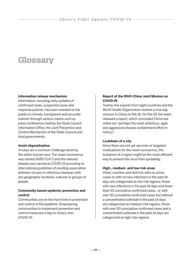## **Glossary**

#### **Information release mechanism**

Information, including daily updates of confirmed cases, suspected cases and response policies, has been revealed to the public in a timely, transparent and accurate manner through various means such as press conferences held by the State Council Information Office, the Joint Prevention and Control Mechanism of the State Council and local governments.

#### **Avoid stigmatization**

Viruses are a common challenge faced by the entire human race. The novel coronavirus was named SARS-CoV-2 and the relevant disease was named as COVID-19 according to international guidelines of avoiding association between viruses or infectious diseases with any geographic locations, cultures or groups of people.

#### **Community-based epidemic prevention and control**

Communities are on the front lines in prevention and control of the epidemic. Empowering communities to implement prevention and control measures is key to victory over COVID-19.

#### **Report of the WHO-China Joint Mission on COVID-19**

Twenty-five experts from eight countries and the World Health Organization started a nine-day mission in China on Feb 16. On Feb 29, the team released a report, which concluded China has rolled out "perhaps the most ambitious, agile and aggressive disease containment effort in history".

#### **Lockdown of a city**

Since there are not yet vaccines or targeted medications for the novel coronavirus, the lockdown of a region might be the most efficient way to prevent the virus from spreading.

#### **High-, medium- and low-risk areas**

Cities, counties and districts with no active cases or with no new infections in the past 14 days are categorized as low-risk regions; those with new infections in the past 14 days and fewer than 50 cumulative confirmed cases, or with over 50 cumulative confirmed cases but without a concentrated outbreak in the past 14 days are categorized as medium-risk regions; those with over 50 cumulative confirmed cases and a concentrated outbreak in the past 14 days are categorized as high-risk regions.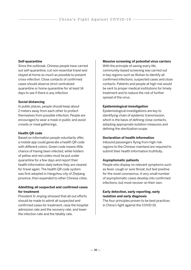#### **Self-quarantine**

Since the outbreak, Chinese people have carried out self-quarantine, cut non-essential travel and stayed at home as much as possible to prevent cross-infection. Close contacts of confirmed cases should observe strict centralized quarantine or home quarantine for at least 14 days to see if there is any infection.

#### **Social distancing**

In public places, people should keep about 2 meters away from each other to protect themselves from possible infection. People are encouraged to wear a mask in public and avoid crowds or meal gatherings.

#### **Health QR code**

Based on information people voluntarily offer, a mobile app could generate a health QR code with different colors: Green code means little chance of having been infected, while holders of yellow and red codes must be put under quarantine for a few days and report their health information daily before they are cleared for travel again. The health QR code system was first adopted in Hangzhou city of Zhejiang province, then expanded to other Chinese cities.

#### **Admitting all suspected and confirmed cases for treatment**

President Xi Jinping stressed that all-out efforts should be made to admit all suspected and confirmed cases for treatment, raise the hospital admission rate and the recovery rate, and lower the infection rate and the fatality rate.

#### **Massive screening of potential virus carriers**

With the principle of saving every life, community-based screening was carried out in key regions such as Wuhan to identify all confirmed infections, suspected cases and close contacts. Patients and people at high risk would be sent to proper medical institutions for timely treatment and to reduce the risk of further spread of the virus.

#### **Epidemiological investigation**

Epidemiological investigations are key to identifying chain of epidemic transmission, which is the basis of defining close contacts, adopting appropriate isolation measures and defining the sterilization scope.

#### **Declaration of health information**

Inbound passengers flying from high-risk regions to the Chinese mainland are required to submit their health information truthfully.

#### **Asymptomatic patients**

People who display no relevant symptoms such as fever, cough or sore throat, but test positive for the novel coronavirus. A very small number of asymptomatic cases develop into confirmed infections, but most recover on their own.

#### **Early detection, early reporting, early isolation and early diagnosis**

The four principles proven to be best practices in China's fight against the COVID-19.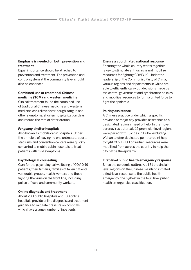#### **Emphasis is needed on both prevention and treatment**

Equal importance should be attached to prevention and treatment. The prevention and control system at the community level should also be enhanced.

#### **Combined use of traditional Chinese medicine (TCM) and western medicine**

Clinical treatment found the combined use of traditional Chinese medicine and western medicine can relieve fever, cough, fatigue and other symptoms, shorten hospitalization days and reduce the rate of deterioration.

#### **Fangcang shelter hospitals**

Also known as mobile cabin hospitals. Under the principle of leaving no one untreated, sports stadiums and convention centers were quickly converted to mobile cabin hospitals to treat patients with mild symptoms.

#### **Psychological counseling**

Care for the psychological wellbeing of COVID-19 patients, their families, families of fallen patients, vulnerable groups, health workers and those fighting the virus on the front line, including police officers and community workers.

#### **Online diagnosis and treatment**

About 200 public hospitals and 100 online hospitals provide online diagnosis and treatment guidance to mitigate pressure on hospitals which have a large number of inpatients.

#### **Ensure a coordinated national response**

Ensuring the whole country works together is key to stimulate enthusiasm and mobilize resources for fighting COVID-19. Under the leadership of the Communist Party of China, various regions and departments in China are able to efficiently carry out decisions made by the central government and synchronize policies and mobilize resources to form a united force to fight the epidemic.

#### **Pairing assistance**

A Chinese practice under which a specific province or major city provides assistance to a designated region in need of help. In the novel coronavirus outbreak, 19 provincial-level regions were paired with 16 cities in Hubei excluding Wuhan to offer dedicated point-to-point help to fight COVID-19. For Wuhan, resources were mobilized from across the country to help the city battle the epidemic.

#### **First-level public health emergency response**

Since the epidemic outbreak, all 31 provinciallevel regions on the Chinese mainland initiated a first-level response to the public health emergency, the highest in the four-level public health emergencies classification.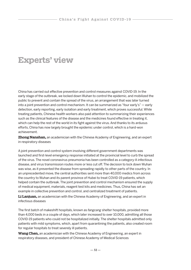## **Experts' view**

China has carried out effective prevention and control measures against COVID-19. In the early stage of the outbreak, we locked down Wuhan to control the epidemic, and mobilized the public to prevent and contain the spread of the virus, an arrangement that was later turned into a joint prevention and control mechanism. It can be summarized as "four early's" — early detection, early reporting, early isolation and early treatment, which proves successful. While treating patients, Chinese health workers also paid attention to summarizing their experiences such as the clinical features of the disease and the medicines found effective in treating it, which can help the rest of the world in its fight against the virus. And thanks to its arduous efforts, China has now largely brought the epidemic under control, which is a hard-won achievement.

**Zhong Nanshan,** an academician with the Chinese Academy of Engineering, and an expert in respiratory diseases

A joint prevention and control system involving different government departments was launched and first-level emergency response initiated at the provincial level to curb the spread of the virus. The novel coronavirus pneumonia has been controlled as a category-A infectious disease, and virus transmission routes more or less cut off. The decision to lock down Wuhan was wise, as it prevented the disease from spreading rapidly to other parts of the country. In an unprecedented move, the central authorities sent more than 40,000 medics from across the country to Wuhan and its parent province of Hubei to treat COVID-19 patients, which helped contain the outbreak. The joint prevention and control mechanism ensured the supply of medical equipment, materials, reagent test kits and medicines. Thus, China has set an example in collective prevention and control, and centralized treatment of patients.

**Li Lanjuan,** an academician with the Chinese Academy of Engineering, and an expert in infectious diseases

The first batch of makeshift hospitals, known as fangcang shelter hospitals, provided more than 4,000 beds in a couple of days, which later increased to over 10,000, admitting all those COVID-19 patients who could not be hospitalized initially. The shelter hospitals admitted only patients with mild symptoms, which, apart from quarantining the patients, also created room for regular hospitals to treat severely ill patients.

**Wang Chen,** an academician with the Chinese Academy of Engineering, an expert in respiratory diseases, and president of Chinese Academy of Medical Sciences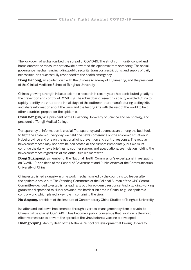The lockdown of Wuhan curbed the spread of COVID-19. The strict community control and home quarantine measures nationwide prevented the epidemic from spreading. The social governance mechanism, including public security, transport restrictions, and supply of daily necessities, has successfully responded to the health emergency.

**Dong Jiahong,** an academician with the Chinese Academy of Engineering, and the president of the Clinical Medicine School of Tsinghua University

China's growing strength in basic scientific research in recent years has contributed greatly to the prevention and control of COVID-19. The robust basic research capacity enabled China to rapidly identify the virus at the initial stage of the outbreak, start manufacturing testing kits, and share information about the virus and the testing kits with the rest of the world to help other countries prepare for the epidemic.

**Chen Jianguo,** vice-president of the Huazhong University of Science and Technology, and president of Tongji Medical College

Transparency of information is crucial. Transparency and openness are among the best tools to fight the epidemic. Every day, we held one news conference on the epidemic situation in Hubei province and one on the national joint prevention and control response. The regular news conferences may not have helped scotch all the rumors immediately, but we must continue the daily news briefings to counter rumors and speculations. We insist on holding the news conference regardless of the difficulties we meet with.

**Dong Guanpeng,** a member of the National Health Commission's expert panel investigating on COVID-19, and dean of the School of Government and Public Affairs at the Communication University of China

China established a quasi-wartime work mechanism led by the country's top leader after the epidemic broke out. The Standing Committee of the Political Bureau of the CPC Central Committee decided to establish a leading group for epidemic response. And a guiding working group was dispatched to Hubei province, the hardest-hit area in China, to guide epidemic control work, which played a key role in containing the virus.

**Hu Angang,** president of the Institute of Contemporary China Studies at Tsinghua University

Isolation and lockdown implemented through a vertical management system is pivotal to China's battle against COVID-19. It has become a public consensus that isolation is the most effective measure to prevent the spread of the virus before a vaccine is developed.

**Huang Yiping,** deputy dean of the National School of Development at Peking University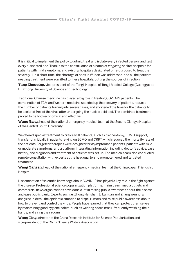It is critical to implement the policy to admit, treat and isolate every infected person, and test every suspected one. Thanks to the construction of a batch of fangcang shelter hospitals for patients with mild symptoms, and existing hospitals designated or re-purposed to treat the severely ill in a short time, the shortage of beds in Wuhan was addressed, and all the patients needing treatment were admitted to these hospitals, cutting the sources of infection.

**Tang Zhouping,** vice-president of the Tongji Hospital of Tongji Medical College (Guanggu) at Huazhong University of Science and Technology

Traditional Chinese medicine has played a big role in treating COVID-19 patients. The combination of TCM and Western medicine speeded up the recovery of patients, reduced the number of patients turning into severe cases, and shortened the time for the patients to be declared free of the virus after undergoing the nucleic acid test. The combined treatment proved to be both economical and effective.

**Wang Yang,** head of the national emergency medical team at the Second Xiangya Hospital of the Central South University

We offered special treatment to critically ill patients, such as tracheotomy, ECMO support, transfer of critically ill patients relying on ECMO and CRRT, which reduced the mortality rate of the patients. Targeted therapies were designed for asymptomatic patients, patients with mild or moderate symptoms, and a platform integrating information including doctor's advice, case history, and diagnosis and treatment of patients was set up. The medical team also conducted remote consultation with experts at the headquarters to promote tiered and targeted treatment.

**Wang Yansen,** head of the national emergency medical team at the China-Japan Friendship Hospital

Dissemination of scientific knowledge about COVID-19 has played a key role in the fight against the disease. Professional science popularization platforms, mainstream media outlets and commercial news organizations have done a lot in raising public awareness about the disease and ease public panic. Experts such as Zhong Nanshan, Li Lanjuan and Zhang Wenhong analyzed in detail the epidemic situation to dispel rumors and raise public awareness about how to prevent and control the virus. People have learned that they can protect themselves by maintaining good hygiene habits, such as wearing a face mask, frequently washing their hands, and airing their rooms.

**Wang Ting,** director of the China Research Institute for Science Popularization and vice-president of the China Science Writers Association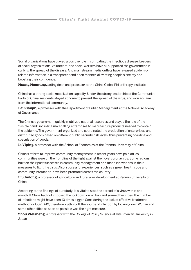Social organizations have played a positive role in combating the infectious disease. Leaders of social organizations, volunteers, and social workers have all supported the government in curbing the spread of the disease. And mainstream media outlets have released epidemicrelated information in a transparent and open manner, alleviating people's anxiety and boosting their confidence.

**Huang Haoming,** acting dean and professor at the China Global Philanthropy Institute

China has a strong social mobilization capacity. Under the strong leadership of the Communist Party of China, residents stayed at home to prevent the spread of the virus, and won acclaim from the international community.

**Lai Xianjin,** a professor with the Department of Public Management at the National Academy of Governance

The Chinese government quickly mobilized national resources and played the role of the "visible hand", including marshalling enterprises to manufacture products needed to contain the epidemic. The government organized and coordinated the production of enterprises, and distributed goods based on different public security risk levels, thus preventing hoarding and speculation of goods.

**Li Yiping,** a professor with the School of Economics at the Renmin University of China

China's efforts to improve community management in recent years have paid off, as communities were on the front line of the fight against the novel coronavirus. Some regions built on their past successes in community management and made innovations in their measures to fight the virus. Also, successful experiences, such as a green health code and community interaction, have been promoted across the country,

**Liu Jinlong,** a professor of agriculture and rural area development at Renmin University of China

According to the findings of our study, it is vital to stop the spread of a virus within one month. If China had not imposed the lockdown on Wuhan and some other cities, the number of infections might have been 10 times bigger. Considering the lack of effective treatment method for COVID-19, therefore, cutting off the source of infection by locking down Wuhan and some other cities as soon as possible was the right measure.

**Zhou Weisheng,** a professor with the College of Policy Science at Ritsumeikan University in Japan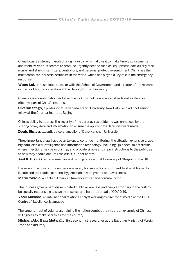China boasts a strong manufacturing industry, which allows it to make timely adjustments and mobilize various sectors to produce urgently needed medical equipment, particularly face masks and shields, sanitizers, ventilators, and personal protective equipment. China has the most complete industrial structure in the world, which has played a key role in the emergency response.

**Wang Lei,** an associate professor with the School of Government and director of the research center for BRICS cooperation at the Beijing Normal University

China's early identification and effective lockdown of its epicenter stands out as the most effective part of China's response.

**Swaran Singh,** a professor at Jawaharlal Nehru University, New Delhi, and adjunct senior fellow at the Charhar Institute, Beijing

China's ability to address the severity of the coronavirus epidemic was enhanced by the sharing of key data and information to ensure the appropriate decisions were made.

**Denis Simon,** executive vice-chancellor of Duke Kunshan University

Three important steps have been taken: to continue monitoring the situation extensively; use big data, artificial intelligence and information technology, including QR codes, to determine where infections may be occurring; and provide simple and clear instructions to the public as to how they should act until the crisis is under control.

**Asit K. Biswas,** an academician and visiting professor at University of Glasgow in the UK

I believe at the core of this success was every household's commitment to stay at home, to isolate and to practice personal hygiene habits with greater self-awareness.

**Mario Cavolo,** an Italian-American freelance writer and commentator

The Chinese government disseminated public awareness and people stood up to the task to be socially responsible to save themselves and halt the spread of COVID-19.

**Yasir Masood,** an international relations analyst working as director of media at the CPEC-Centre of Excellence, Islamabad

The large turnout of volunteers helping the nation combat the virus is an example of Chinese willingness to make sacrifices for the country.

**Hisham Abu Bakr Metwally,** first economist researcher at the Egyptian Ministry of Foreign Trade and Industry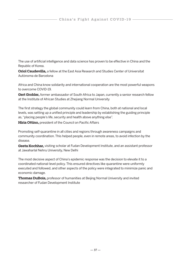The use of artificial intelligence and data science has proven to be effective in China and the Republic of Korea.

**Oriol Caudevilla,** a fellow at the East Asia Research and Studies Center of Universitat Autònoma de Barcelona

Africa and China know solidarity and international cooperation are the most powerful weapons to overcome COVID-19.

**Gert Grobler,** former ambassador of South Africa to Japan, currently a senior research fellow at the Institute of African Studies at Zhejiang Normal University

The first strategy the global community could learn from China, both at national and local levels, was setting up a unified principle and leadership by establishing the guiding principle as, "placing people's life, security and health above anything else".

**Hiria Ottino,** president of the Council on Pacific Affairs

Promoting self-quarantine in all cities and regions through awareness campaigns and community coordination. This helped people, even in remote areas, to avoid infection by the disease.

**Geeta Kochhar,** visiting scholar at Fudan Development Institute, and an assistant professor at Jawaharlal Nehru University, New Delhi

The most decisive aspect of China's epidemic response was the decision to elevate it to a coordinated national-level policy. This ensured directives like quarantine were uniformly executed and followed, and other aspects of the policy were integrated to minimize panic and economic damage.

**Thomas DuBois,** professor of humanities at Beijing Normal University and invited researcher of Fudan Development Institute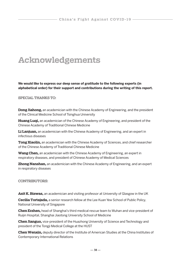## **Acknowledgements**

**We would like to express our deep sense of gratitude to the following experts (in alphabetical order) for their support and contributions during the writing of this report.**

SPECIAL THANKS TO:

**Dong Jiahong,** an academician with the Chinese Academy of Engineering, and the president of the Clinical Medicine School of Tsinghua University

**Huang Luqi,** an academician of the Chinese Academy of Engineering, and president of the Chinese Academy of Traditional Chinese Medicine

**Li Lanjuan,** an academician with the Chinese Academy of Engineering, and an expert in infectious diseases

**Tong Xiaolin,** an academician with the Chinese Academy of Sciences, and chief researcher of the Chinese Academy of Traditional Chinese Medicine

**Wang Chen,** an academician with the Chinese Academy of Engineering, an expert in respiratory diseases, and president of Chinese Academy of Medical Sciences

**Zhong Nanshan,** an academician with the Chinese Academy of Engineering, and an expert in respiratory diseases

#### CONTRIBUTORS:

**Asit K. Biswas,** an academician and visiting professor at University of Glasgow in the UK

**Cecilia Tortajada,** a senior research fellow at the Lee Kuan Yew School of Public Policy, National University of Singapore

**Chen Erzhen,** head of Shanghai's third medical rescue team to Wuhan and vice-president of Ruijin Hospital, Shanghai Jiaotong University School of Medicine

**Chen Jianguo,** vice-president of the Huazhong University of Science and Technology and president of the Tongji Medical College at the HUST

**Chen Wenxin,** deputy director of the Institute of American Studies at the China Institutes of Contemporary International Relations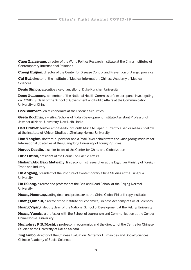**Chen Xiangyang,** director of the World Politics Research Institute at the China Institutes of Contemporary International Relations

**Cheng Huijian,** director of the Center for Disease Control and Prevention of Jiangxi province

**Chi Hui,** director of the Institute of Medical Information, Chinese Academy of Medical **Sciences** 

**Denis Simon,** executive vice-chancellor of Duke Kunshan University

**Dong Guanpeng,** a member of the National Health Commission's expert panel investigating on COVID-19, dean of the School of Government and Public Affairs at the Communication University of China

**Gao Shanwen,** chief economist at the Essence Securities

Geeta Kochhar, a visiting Scholar of Fudan Development Institute Assistant Professor of Jawaharlal Nehru University, New Delhi, India

**Gert Grobler,** former ambassador of South Africa to Japan, currently a senior research fellow at the Institute of African Studies at Zhejiang Normal University

**Han Yonghui,** doctoral supervisor and a Pearl River scholar with the Guangdong Institute for International Strategies at the Guangdong University of Foreign Studies

**Harvey Dzodin,** a senior fellow at the Center for China and Globalization

**Hiria Ottino,** president of the Council on Pacific Affairs

**Hisham Abu Bakr Metwally,** first economist researcher at the Egyptian Ministry of Foreign Trade and Industry

**Hu Angang,** president of the Institute of Contemporary China Studies at the Tsinghua **University** 

**Hu Biliang,** director and professor of the Belt and Road School at the Beijing Normal University

**Huang Haoming,** acting dean and professor at the China Global Philanthropy Institute

**Huang Qunhui,** director of the Institute of Economics, Chinese Academy of Social Sciences

**Huang Yiping,** deputy dean of the National School of Development at the Peking University

**Huang Yueqin,** a professor with the School of Journalism and Communication at the Central China Normal University

**Humphrey P.B. Moshi,** a professor in economics and the director of the Centre for Chinese Studies at the University of Dar es Salaam

**Jing Linbo,** director of the Chinese Evaluation Center for Humanities and Social Sciences, Chinese Academy of Social Sciences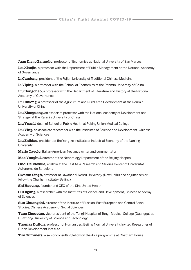**Juan Diego Zamudio,** professor of Economics at National University of San Marcos

**Lai Xianjin,** a professor with the Department of Public Management at the National Academy of Governance

**Li Candong,** president of the Fujian University of Traditional Chinese Medicine

**Li Yiping,** a professor with the School of Economics at the Renmin University of China

**Liu Dongchao,** a professor with the Department of Literature and History at the National Academy of Governance

**Liu Jinlong,** a professor of the Agriculture and Rural Area Development at the Renmin University of China

**Liu Xiaoguang,** an associate professor with the National Academy of Development and Strategy at the Renmin University of China

**Liu Yuanli,** dean of School of Public Health at Peking Union Medical College

**Liu Ying,** an associate researcher with the Institutes of Science and Development, Chinese Academy of Sciences

**Liu Zhibiao,** president of the Yangtze Institute of Industrial Economy of the Nanjing **University** 

**Mario Cavolo,** Italian-American freelance writer and commentator

**Mao Yonghui,** director of the Nephrology Department of the Beijing Hospital

**Oriol Caudevilla,** a fellow at the East Asia Research and Studies Center of Universitat Autònoma de Barcelona

**Swaran Singh,** professor at Jawaharlal Nehru University (New Delhi) and adjunct senior fellow the Charhar Institute (Beijing)

**Shi Haoying,** founder and CEO of the SinoUnited Health

**Sui Jigang,** a researcher with the Institutes of Science and Development, Chinese Academy of Sciences

**Sun Zhuangzhi,** director of the Institute of Russian, East European and Central Asian Studies, Chinese Academy of Social Sciences

**Tang Zhouping,** vice-president of the Tongji Hospital of Tongji Medical College (Guanggu) at Huazhong University of Science and Technology

**Thomas DuBois,** professor of Humanities, Beijing Normal University, Invited Researcher of Fudan Development Institute

**Tim Summers,** a senior consulting fellow on the Asia programme at Chatham House